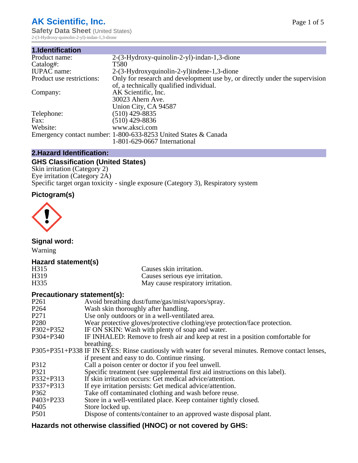# **AK Scientific, Inc.**

**Safety Data Sheet (United States)** 2-(3-Hydroxy-quinolin-2-yl)-indan-1,3-dione

| 1.Identification          |                                                                             |
|---------------------------|-----------------------------------------------------------------------------|
| Product name:             | 2-(3-Hydroxy-quinolin-2-yl)-indan-1,3-dione                                 |
| Catalog#:                 | T580                                                                        |
| <b>IUPAC</b> name:        | 2-(3-Hydroxyquinolin-2-yl)indene-1,3-dione                                  |
| Product use restrictions: | Only for research and development use by, or directly under the supervision |
|                           | of, a technically qualified individual.                                     |
| Company:                  | AK Scientific, Inc.                                                         |
|                           | 30023 Ahern Ave.                                                            |
|                           | Union City, CA 94587                                                        |
| Telephone:                | $(510)$ 429-8835                                                            |
| Fax:                      | (510) 429-8836                                                              |
| Website:                  | www.aksci.com                                                               |
|                           | Emergency contact number: 1-800-633-8253 United States & Canada             |
|                           | 1-801-629-0667 International                                                |

# **2.Hazard Identification:**

# **GHS Classification (United States)**

Skin irritation (Category 2) Eye irritation (Category 2A) Specific target organ toxicity - single exposure (Category 3), Respiratory system

# **Pictogram(s)**



**Signal word:**

Warning

# **Hazard statement(s)**

| H <sub>315</sub>  | Causes skin irritation.           |
|-------------------|-----------------------------------|
| H <sub>3</sub> 19 | Causes serious eye irritation.    |
| H335              | May cause respiratory irritation. |

# **Precautionary statement(s):**

| P <sub>261</sub> | Avoid breathing dust/fume/gas/mist/vapors/spray.                                                   |
|------------------|----------------------------------------------------------------------------------------------------|
| P <sub>264</sub> | Wash skin thoroughly after handling.                                                               |
| P <sub>271</sub> | Use only outdoors or in a well-ventilated area.                                                    |
| P <sub>280</sub> | Wear protective gloves/protective clothing/eye protection/face protection.                         |
| P302+P352        | IF ON SKIN: Wash with plenty of soap and water.                                                    |
| $P304 + P340$    | IF INHALED: Remove to fresh air and keep at rest in a position comfortable for                     |
|                  | breathing.                                                                                         |
|                  | P305+P351+P338 IF IN EYES: Rinse cautiously with water for several minutes. Remove contact lenses, |
|                  | if present and easy to do. Continue rinsing.                                                       |
| P312             | Call a poison center or doctor if you feel unwell.                                                 |
| P321             | Specific treatment (see supplemental first aid instructions on this label).                        |
| P332+P313        | If skin irritation occurs: Get medical advice/attention.                                           |
| P337+P313        | If eye irritation persists: Get medical advice/attention.                                          |
| P362             | Take off contaminated clothing and wash before reuse.                                              |
| $P403 + P233$    | Store in a well-ventilated place. Keep container tightly closed.                                   |
| P <sub>405</sub> | Store locked up.                                                                                   |
| P <sub>501</sub> | Dispose of contents/container to an approved waste disposal plant.                                 |
|                  |                                                                                                    |

# **Hazards not otherwise classified (HNOC) or not covered by GHS:**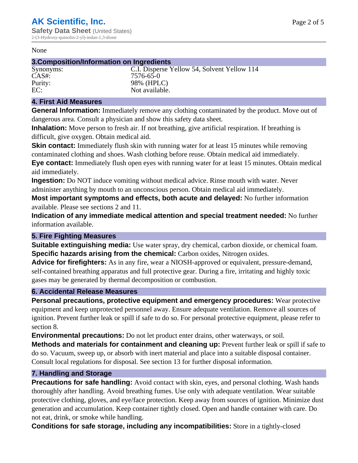#### None

## **3.Composition/Information on Ingredients**

Synonyms: C.I. Disperse Yellow 54, Solvent Yellow 114 CAS#: 7576-65-0 Purity: 98% (HPLC)<br>EC: Not available Not available.

# **4. First Aid Measures**

**General Information:** Immediately remove any clothing contaminated by the product. Move out of dangerous area. Consult a physician and show this safety data sheet.

**Inhalation:** Move person to fresh air. If not breathing, give artificial respiration. If breathing is difficult, give oxygen. Obtain medical aid.

**Skin contact:** Immediately flush skin with running water for at least 15 minutes while removing contaminated clothing and shoes. Wash clothing before reuse. Obtain medical aid immediately. **Eye contact:** Immediately flush open eyes with running water for at least 15 minutes. Obtain medical aid immediately.

**Ingestion:** Do NOT induce vomiting without medical advice. Rinse mouth with water. Never administer anything by mouth to an unconscious person. Obtain medical aid immediately.

**Most important symptoms and effects, both acute and delayed:** No further information available. Please see sections 2 and 11.

**Indication of any immediate medical attention and special treatment needed:** No further information available.

# **5. Fire Fighting Measures**

**Suitable extinguishing media:** Use water spray, dry chemical, carbon dioxide, or chemical foam. **Specific hazards arising from the chemical:** Carbon oxides, Nitrogen oxides.

**Advice for firefighters:** As in any fire, wear a NIOSH-approved or equivalent, pressure-demand, self-contained breathing apparatus and full protective gear. During a fire, irritating and highly toxic gases may be generated by thermal decomposition or combustion.

# **6. Accidental Release Measures**

**Personal precautions, protective equipment and emergency procedures:** Wear protective equipment and keep unprotected personnel away. Ensure adequate ventilation. Remove all sources of ignition. Prevent further leak or spill if safe to do so. For personal protective equipment, please refer to section 8.

**Environmental precautions:** Do not let product enter drains, other waterways, or soil.

**Methods and materials for containment and cleaning up:** Prevent further leak or spill if safe to do so. Vacuum, sweep up, or absorb with inert material and place into a suitable disposal container. Consult local regulations for disposal. See section 13 for further disposal information.

# **7. Handling and Storage**

**Precautions for safe handling:** Avoid contact with skin, eyes, and personal clothing. Wash hands thoroughly after handling. Avoid breathing fumes. Use only with adequate ventilation. Wear suitable protective clothing, gloves, and eye/face protection. Keep away from sources of ignition. Minimize dust generation and accumulation. Keep container tightly closed. Open and handle container with care. Do not eat, drink, or smoke while handling.

**Conditions for safe storage, including any incompatibilities:** Store in a tightly-closed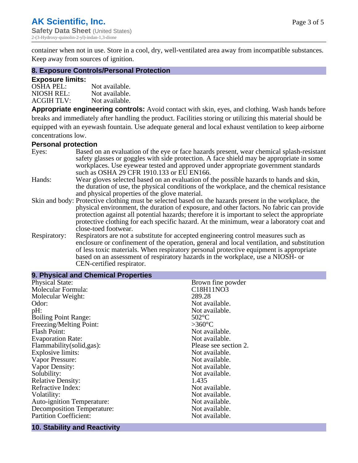container when not in use. Store in a cool, dry, well-ventilated area away from incompatible substances. Keep away from sources of ignition.

## **8. Exposure Controls/Personal Protection**

## **Exposure limits:**

| <b>OSHA PEL:</b>  | Not available. |
|-------------------|----------------|
| NIOSH REL:        | Not available. |
| <b>ACGIH TLV:</b> | Not available. |

**Appropriate engineering controls:** Avoid contact with skin, eyes, and clothing. Wash hands before breaks and immediately after handling the product. Facilities storing or utilizing this material should be equipped with an eyewash fountain. Use adequate general and local exhaust ventilation to keep airborne concentrations low.

## **Personal protection**

| Eyes:        | Based on an evaluation of the eye or face hazards present, wear chemical splash-resistant<br>safety glasses or goggles with side protection. A face shield may be appropriate in some |
|--------------|---------------------------------------------------------------------------------------------------------------------------------------------------------------------------------------|
|              | workplaces. Use eyewear tested and approved under appropriate government standards<br>such as OSHA 29 CFR 1910.133 or EU EN166.                                                       |
| Hands:       | Wear gloves selected based on an evaluation of the possible hazards to hands and skin,                                                                                                |
|              | the duration of use, the physical conditions of the workplace, and the chemical resistance                                                                                            |
|              | and physical properties of the glove material.                                                                                                                                        |
|              | Skin and body: Protective clothing must be selected based on the hazards present in the workplace, the                                                                                |
|              | physical environment, the duration of exposure, and other factors. No fabric can provide                                                                                              |
|              | protection against all potential hazards; therefore it is important to select the appropriate                                                                                         |
|              | protective clothing for each specific hazard. At the minimum, wear a laboratory coat and                                                                                              |
|              | close-toed footwear.                                                                                                                                                                  |
| Respiratory: | Respirators are not a substitute for accepted engineering control measures such as<br>enclosure or confinement of the operation, general and local ventilation, and substitution      |
|              | of less toxic materials. When respiratory personal protective equipment is appropriate                                                                                                |
|              | based on an assessment of respiratory hazards in the workplace, use a NIOSH- or                                                                                                       |
|              | CEN-certified respirator.                                                                                                                                                             |

| 9. Physical and Chemical Properties |                       |
|-------------------------------------|-----------------------|
| <b>Physical State:</b>              | Brown fine powder     |
| Molecular Formula:                  | C18H11NO3             |
| Molecular Weight:                   | 289.28                |
| Odor:                               | Not available.        |
| pH:                                 | Not available.        |
| <b>Boiling Point Range:</b>         | $502$ °C              |
| Freezing/Melting Point:             | $>360^{\circ}C$       |
| <b>Flash Point:</b>                 | Not available.        |
| <b>Evaporation Rate:</b>            | Not available.        |
| Flammability(solid,gas):            | Please see section 2. |
| <b>Explosive limits:</b>            | Not available.        |
| Vapor Pressure:                     | Not available.        |
| Vapor Density:                      | Not available.        |
| Solubility:                         | Not available.        |
| <b>Relative Density:</b>            | 1.435                 |
| Refractive Index:                   | Not available.        |
| Volatility:                         | Not available.        |
| <b>Auto-ignition Temperature:</b>   | Not available.        |
| <b>Decomposition Temperature:</b>   | Not available.        |
| <b>Partition Coefficient:</b>       | Not available.        |

#### **10. Stability and Reactivity**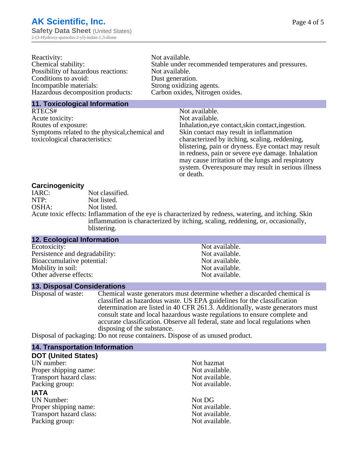| Reactivity:                         | Not available.                                       |
|-------------------------------------|------------------------------------------------------|
| Chemical stability:                 | Stable under recommended temperatures and pressures. |
| Possibility of hazardous reactions: | Not available.                                       |
| Conditions to avoid:                | Dust generation.                                     |
| Incompatible materials:             | Strong oxidizing agents.                             |
| Hazardous decomposition products:   | Carbon oxides, Nitrogen oxides.                      |
|                                     |                                                      |

#### **11. Toxicological Information**

| RTECS#                                         | Not available.                                      |
|------------------------------------------------|-----------------------------------------------------|
| Acute toxicity:                                | Not available.                                      |
| Routes of exposure:                            | Inhalation, eye contact, skin contact, ingestion.   |
| Symptoms related to the physical, chemical and | Skin contact may result in inflammation             |
| toxicological characteristics:                 | characterized by itching, scaling, reddening,       |
|                                                | blistering, pain or dryness. Eye contact may result |
|                                                | in redness, pain or severe eye damage. Inhalation   |
|                                                | may cause irritation of the lungs and respiratory   |
|                                                | system. Overexposure may result in serious illness  |

or death.

## **Carcinogenicity**

| IARC: | Not classified.                                                                                      |
|-------|------------------------------------------------------------------------------------------------------|
| NTP:  | Not listed.                                                                                          |
| OSHA: | Not listed.                                                                                          |
|       | Acute toxic effects: Inflammation of the eye is characterized by redness, watering, and itching. Ski |
|       | inflammation is characterized by itching, scaling, reddening, or, occasionally,                      |
|       | blistering.                                                                                          |

| 12. Ecological Information     |                |  |
|--------------------------------|----------------|--|
| Ecotoxicity:                   | Not available. |  |
| Persistence and degradability: | Not available. |  |
| Bioaccumulative potential:     | Not available. |  |
| Mobility in soil:              | Not available. |  |
| Other adverse effects:         | Not available. |  |
|                                |                |  |

## **13. Disposal Considerations**

Disposal of waste: Chemical waste generators must determine whether a discarded chemical is classified as hazardous waste. US EPA guidelines for the classification determination are listed in 40 CFR 261.3. Additionally, waste generators must consult state and local hazardous waste regulations to ensure complete and accurate classification. Observe all federal, state and local regulations when disposing of the substance.

Disposal of packaging: Do not reuse containers. Dispose of as unused product.

| <b>14. Transportation Information</b> |                |  |
|---------------------------------------|----------------|--|
| <b>DOT (United States)</b>            |                |  |
| UN number:                            | Not hazmat     |  |
| Proper shipping name:                 | Not available. |  |
| Transport hazard class:               | Not available. |  |
| Packing group:                        | Not available. |  |
| <b>IATA</b>                           |                |  |
| <b>UN Number:</b>                     | Not DG         |  |
| Proper shipping name:                 | Not available. |  |
| Transport hazard class:               | Not available. |  |
| Packing group:                        | Not available. |  |